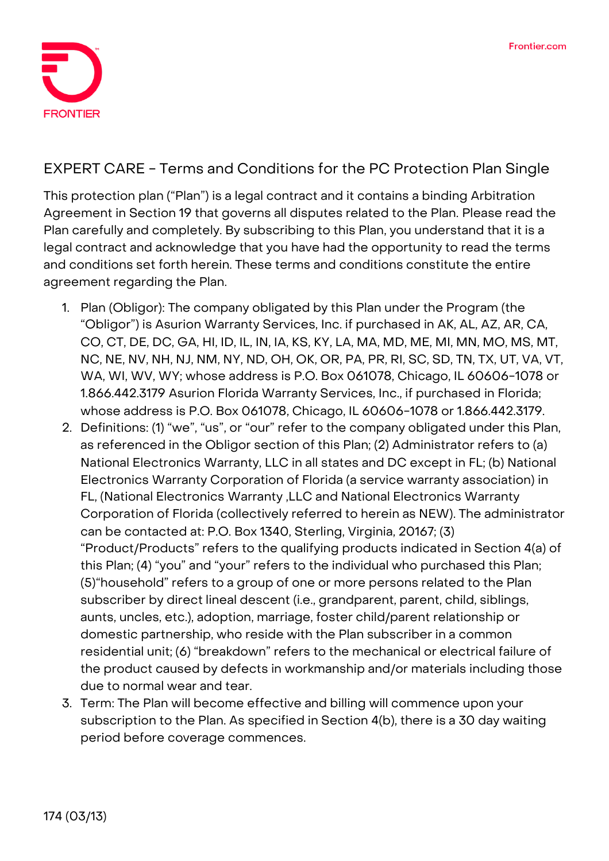

## **EXPERT CARE - Terms and Conditions for the PC Protection Plan Single**

This protection plan ("Plan") is a legal contract and it contains a binding Arbitration Agreement in Section 19 that governs all disputes related to the Plan. Please read the Plan carefully and completely. By subscribing to this Plan, you understand that it is a legal contract and acknowledge that you have had the opportunity to read the terms and conditions set forth herein. These terms and conditions constitute the entire agreement regarding the Plan.

- 1. **Plan (Obligor):** The company obligated by this Plan under the Program (the "Obligor") is Asurion Warranty Services, Inc. if purchased in AK, AL, AZ, AR, CA, CO, CT, DE, DC, GA, HI, ID, IL, IN, IA, KS, KY, LA, MA, MD, ME, MI, MN, MO, MS, MT, NC, NE, NV, NH, NJ, NM, NY, ND, OH, OK, OR, PA, PR, RI, SC, SD, TN, TX, UT, VA, VT, WA, WI, WV, WY; whose address is P.O. Box 061078, Chicago, IL 60606-1078 or 1.866.442.3179 Asurion Florida Warranty Services, Inc., if purchased in Florida; whose address is P.O. Box 061078, Chicago, IL 60606-1078 or 1.866.442.3179.
- 2. **Definitions:** (1) "we", "us", or "our" refer to the company obligated under this Plan, as referenced in the Obligor section of this Plan; (2) Administrator refers to (a) National Electronics Warranty, LLC in all states and DC except in FL; (b) National Electronics Warranty Corporation of Florida (a service warranty association) in FL, (National Electronics Warranty ,LLC and National Electronics Warranty Corporation of Florida (collectively referred to herein as NEW). The administrator can be contacted at: P.O. Box 1340, Sterling, Virginia, 20167; (3) "Product/Products" refers to the qualifying products indicated in Section 4(a) of this Plan; (4) "you" and "your" refers to the individual who purchased this Plan; (5)"household" refers to a group of one or more persons related to the Plan subscriber by direct lineal descent (i.e., grandparent, parent, child, siblings, aunts, uncles, etc.), adoption, marriage, foster child/parent relationship or domestic partnership, who reside with the Plan subscriber in a common residential unit; (6) "breakdown" refers to the mechanical or electrical failure of the product caused by defects in workmanship and/or materials including those due to normal wear and tear.
- 3. **Term:** The Plan will become effective and billing will commence upon your subscription to the Plan. As specified in Section 4(b), there is a 30 day waiting period before coverage commences.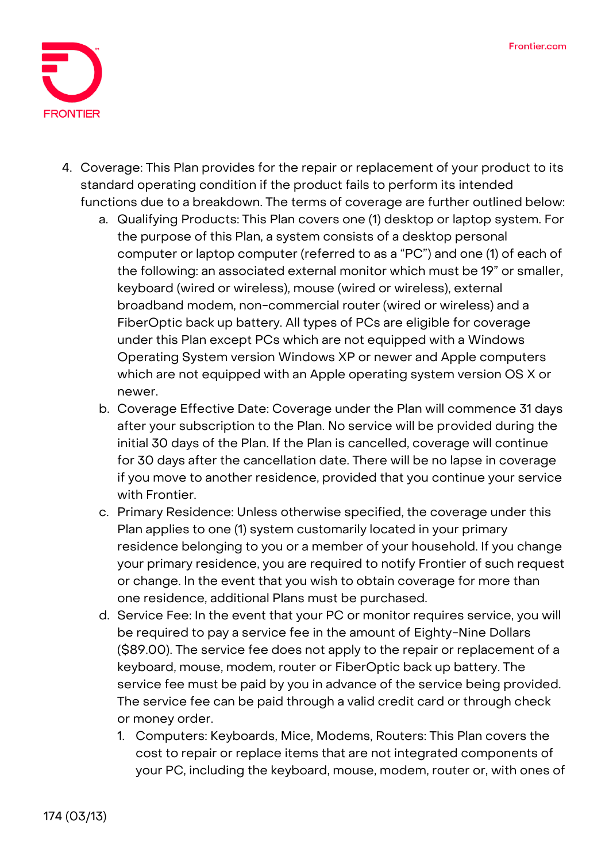

- 4. **Coverage:** This Plan provides for the repair or replacement of your product to its standard operating condition if the product fails to perform its intended functions due to a breakdown. The terms of coverage are further outlined below:
	- a. Qualifying Products: This Plan covers one (1) desktop or laptop system. For the purpose of this Plan, a system consists of a desktop personal computer or laptop computer (referred to as a "PC") and one (1) of each of the following: an associated external monitor which must be 19" or smaller, keyboard (wired or wireless), mouse (wired or wireless), external broadband modem, non-commercial router (wired or wireless) and a FiberOptic back up battery. All types of PCs are eligible for coverage under this Plan except PCs which are not equipped with a Windows Operating System version Windows XP or newer and Apple computers which are not equipped with an Apple operating system version OS X or newer.
	- b. Coverage Effective Date: **Coverage under the Plan will commence 31 days after your subscription to the Plan. No service will be provided during the initial 30 days of the Plan.** If the Plan is cancelled, coverage will continue for 30 days after the cancellation date. There will be no lapse in coverage if you move to another residence, provided that you continue your service with Frontier.
	- c. Primary Residence: Unless otherwise specified, the coverage under this Plan applies to one (1) system customarily located in your primary residence belonging to you or a member of your household. If you change your primary residence, you are required to notify Frontier of such request or change. In the event that you wish to obtain coverage for more than one residence, additional Plans must be purchased.
	- d. Service Fee: **In the event that your PC or monitor requires service, you will be required to pay a service fee in the amount of Eighty-Nine Dollars (\$89.00).** The service fee does not apply to the repair or replacement of a keyboard, mouse, modem, router or FiberOptic back up battery. The service fee must be paid by you in advance of the service being provided. The service fee can be paid through a valid credit card or through check or money order.
		- 1. Computers: Keyboards, Mice, Modems, Routers: This Plan covers the cost to repair or replace items that are not integrated components of your PC, including the keyboard, mouse, modem, router or, with ones of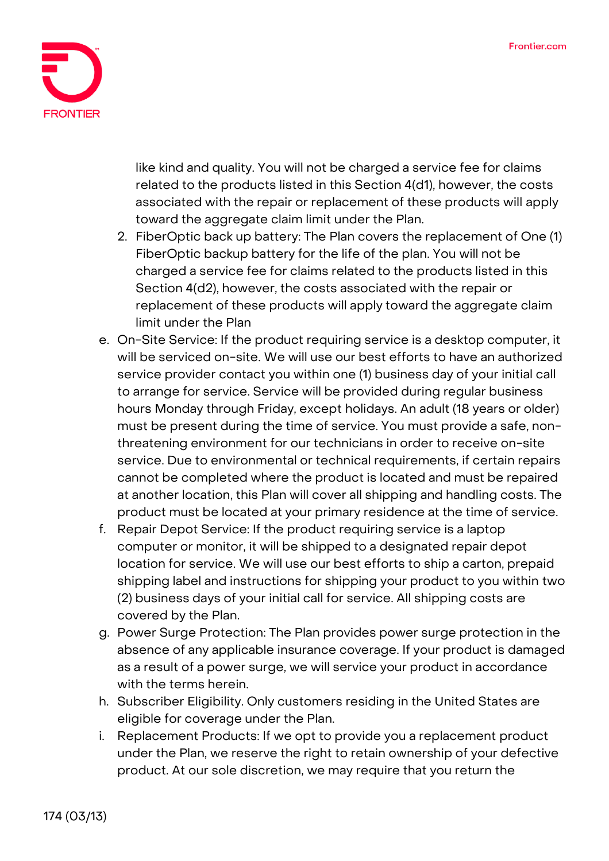

like kind and quality. You will not be charged a service fee for claims related to the products listed in this Section 4(d1), however, the costs associated with the repair or replacement of these products will apply toward the aggregate claim limit under the Plan.

- 2. FiberOptic back up battery: The Plan covers the replacement of One (1) FiberOptic backup battery for the life of the plan. You will not be charged a service fee for claims related to the products listed in this Section 4(d2), however, the costs associated with the repair or replacement of these products will apply toward the aggregate claim limit under the Plan
- e. On-Site Service: If the product requiring service is a desktop computer, it will be serviced on-site. We will use our best efforts to have an authorized service provider contact you within one (1) business day of your initial call to arrange for service. Service will be provided during regular business hours Monday through Friday, except holidays. An adult (18 years or older) must be present during the time of service. You must provide a safe, nonthreatening environment for our technicians in order to receive on-site service. Due to environmental or technical requirements, if certain repairs cannot be completed where the product is located and must be repaired at another location, this Plan will cover all shipping and handling costs. The product must be located at your primary residence at the time of service.
- f. Repair Depot Service: If the product requiring service is a laptop computer or monitor, it will be shipped to a designated repair depot location for service. We will use our best efforts to ship a carton, prepaid shipping label and instructions for shipping your product to you within two (2) business days of your initial call for service. All shipping costs are covered by the Plan.
- g. Power Surge Protection: The Plan provides power surge protection in the absence of any applicable insurance coverage. If your product is damaged as a result of a power surge, we will service your product in accordance with the terms herein.
- h. Subscriber Eligibility. Only customers residing in the United States are eligible for coverage under the Plan.
- i. Replacement Products: If we opt to provide you a replacement product under the Plan, we reserve the right to retain ownership of your defective product. At our sole discretion, we may require that you return the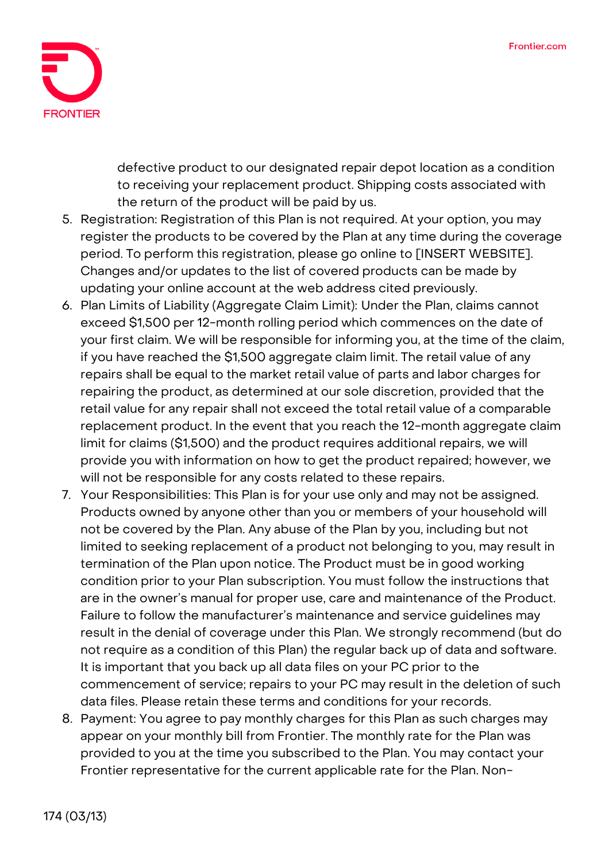

defective product to our designated repair depot location as a condition to receiving your replacement product. Shipping costs associated with the return of the product will be paid by us.

- 5. **Registration:** Registration of this Plan is not required. At your option, you may register the products to be covered by the Plan at any time during the coverage period. To perform this registration, please go online to [INSERT WEBSITE]. Changes and/or updates to the list of covered products can be made by updating your online account at the web address cited previously.
- 6. **Plan Limits of Liability (Aggregate Claim Limit):** Under the Plan, claims cannot exceed \$1,500 per 12-month rolling period which commences on the date of your first claim. We will be responsible for informing you, at the time of the claim, if you have reached the \$1,500 aggregate claim limit. The retail value of any repairs shall be equal to the market retail value of parts and labor charges for repairing the product, as determined at our sole discretion, provided that the retail value for any repair shall not exceed the total retail value of a comparable replacement product. In the event that you reach the 12-month aggregate claim limit for claims (\$1,500) and the product requires additional repairs, we will provide you with information on how to get the product repaired; however, we will not be responsible for any costs related to these repairs.
- 7. **Your Responsibilities:** This Plan is for your use only and may not be assigned. Products owned by anyone other than you or members of your household will not be covered by the Plan. Any abuse of the Plan by you, including but not limited to seeking replacement of a product not belonging to you, may result in termination of the Plan upon notice. The Product must be in good working condition prior to your Plan subscription. You must follow the instructions that are in the owner's manual for proper use, care and maintenance of the Product. Failure to follow the manufacturer's maintenance and service guidelines may result in the denial of coverage under this Plan. We strongly recommend (but do not require as a condition of this Plan) the regular back up of data and software. It is important that you back up all data files on your PC prior to the commencement of service; repairs to your PC may result in the deletion of such data files. Please retain these terms and conditions for your records.
- 8. **Payment:** You agree to pay monthly charges for this Plan as such charges may appear on your monthly bill from Frontier. The monthly rate for the Plan was provided to you at the time you subscribed to the Plan. You may contact your Frontier representative for the current applicable rate for the Plan. Non-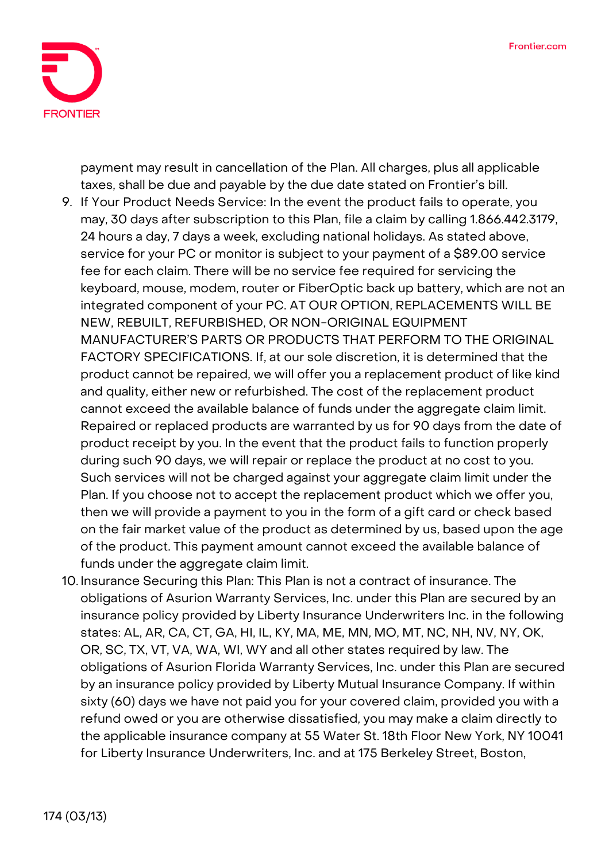

payment may result in cancellation of the Plan. All charges, plus all applicable taxes, shall be due and payable by the due date stated on Frontier's bill.

- 9. **If Your Product Needs Service:** In the event the product fails to operate, you may, 30 days after subscription to this Plan, file a claim by calling 1.866.442.3179, 24 hours a day, 7 days a week, excluding national holidays. As stated above, service for your PC or monitor is subject to your payment of a \$89.00 service fee for each claim. There will be no service fee required for servicing the keyboard, mouse, modem, router or FiberOptic back up battery, which are not an integrated component of your PC. **AT OUR OPTION, REPLACEMENTS WILL BE NEW, REBUILT, REFURBISHED, OR NON-ORIGINAL EQUIPMENT MANUFACTURER'S PARTS OR PRODUCTS THAT PERFORM TO THE ORIGINAL FACTORY SPECIFICATIONS.** If, at our sole discretion, it is determined that the product cannot be repaired, we will offer you a replacement product of like kind and quality, either new or refurbished. The cost of the replacement product cannot exceed the available balance of funds under the aggregate claim limit. Repaired or replaced products are warranted by us for 90 days from the date of product receipt by you. In the event that the product fails to function properly during such 90 days, we will repair or replace the product at no cost to you. Such services will not be charged against your aggregate claim limit under the Plan. If you choose not to accept the replacement product which we offer you, then we will provide a payment to you in the form of a gift card or check based on the fair market value of the product as determined by us, based upon the age of the product. This payment amount cannot exceed the available balance of funds under the aggregate claim limit.
- 10. **Insurance Securing this Plan:** This Plan is not a contract of insurance. The obligations of Asurion Warranty Services, Inc. under this Plan are secured by an insurance policy provided by Liberty Insurance Underwriters Inc. in the following states: AL, AR, CA, CT, GA, HI, IL, KY, MA, ME, MN, MO, MT, NC, NH, NV, NY, OK, OR, SC, TX, VT, VA, WA, WI, WY and all other states required by law. The obligations of Asurion Florida Warranty Services, Inc. under this Plan are secured by an insurance policy provided by Liberty Mutual Insurance Company. If within sixty (60) days we have not paid you for your covered claim, provided you with a refund owed or you are otherwise dissatisfied, you may make a claim directly to the applicable insurance company at 55 Water St. 18th Floor New York, NY 10041 for Liberty Insurance Underwriters, Inc. and at 175 Berkeley Street, Boston,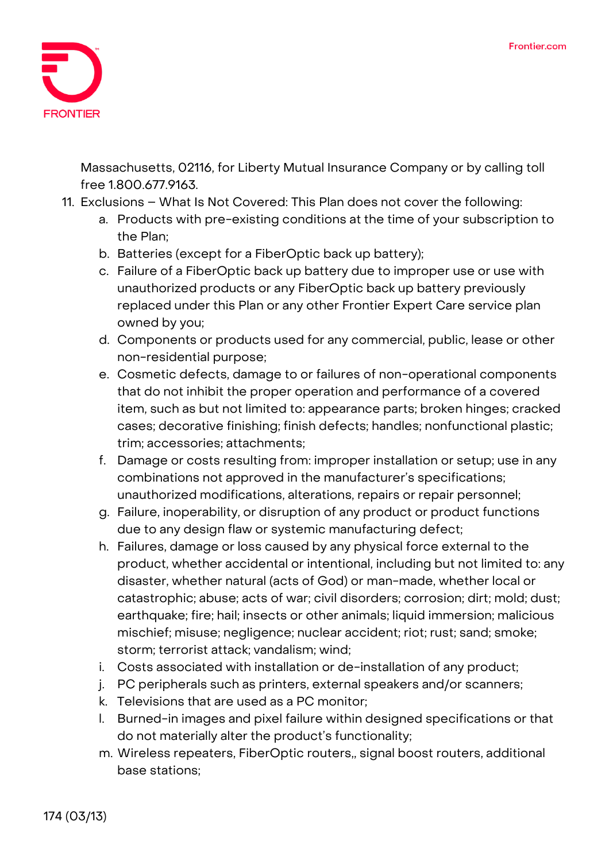

Massachusetts, 02116, for Liberty Mutual Insurance Company or by calling toll free 1.800.677.9163.

- 11. **Exclusions – What Is Not Covered:** This Plan does not cover the following:
	- a. Products with pre-existing conditions at the time of your subscription to the Plan;
	- b. Batteries (except for a FiberOptic back up battery);
	- c. Failure of a FiberOptic back up battery due to improper use or use with unauthorized products or any FiberOptic back up battery previously replaced under this Plan or any other Frontier Expert Care service plan owned by you;
	- d. Components or products used for any commercial, public, lease or other non-residential purpose;
	- e. Cosmetic defects, damage to or failures of non-operational components that do not inhibit the proper operation and performance of a covered item, such as but not limited to: appearance parts; broken hinges; cracked cases; decorative finishing; finish defects; handles; nonfunctional plastic; trim; accessories; attachments;
	- f. Damage or costs resulting from: improper installation or setup; use in any combinations not approved in the manufacturer's specifications; unauthorized modifications, alterations, repairs or repair personnel;
	- g. Failure, inoperability, or disruption of any product or product functions due to any design flaw or systemic manufacturing defect;
	- h. Failures, damage or loss caused by any physical force external to the product, whether accidental or intentional, including but not limited to: any disaster, whether natural (acts of God) or man-made, whether local or catastrophic; abuse; acts of war; civil disorders; corrosion; dirt; mold; dust; earthquake; fire; hail; insects or other animals; liquid immersion; malicious mischief; misuse; negligence; nuclear accident; riot; rust; sand; smoke; storm; terrorist attack; vandalism; wind;
	- i. Costs associated with installation or de-installation of any product;
	- j. PC peripherals such as printers, external speakers and/or scanners;
	- k. Televisions that are used as a PC monitor;
	- l. Burned-in images and pixel failure within designed specifications or that do not materially alter the product's functionality;
	- m. Wireless repeaters, FiberOptic routers,, signal boost routers, additional base stations;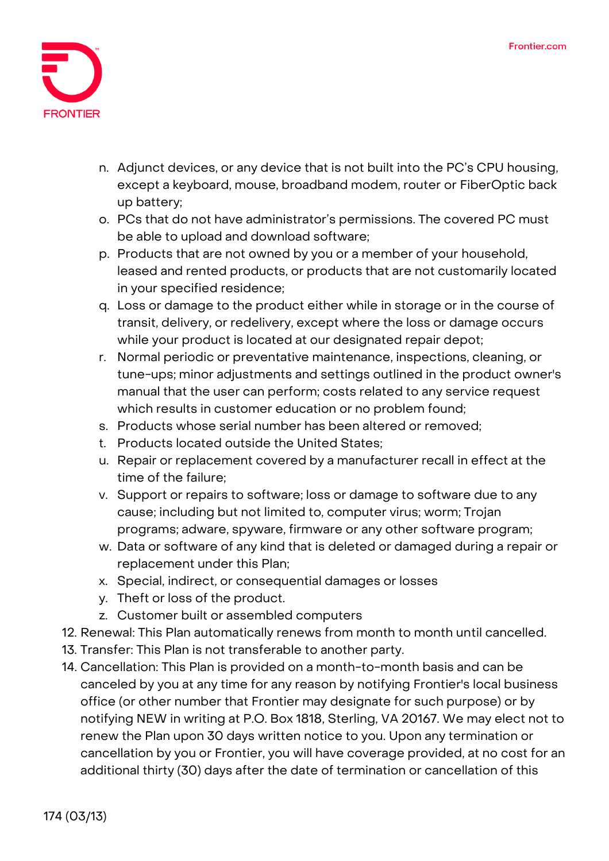

- n. Adjunct devices, or any device that is not built into the PC's CPU housing, except a keyboard, mouse, broadband modem, router or FiberOptic back up battery;
- o. PCs that do not have administrator's permissions. The covered PC must be able to upload and download software;
- p. Products that are not owned by you or a member of your household, leased and rented products, or products that are not customarily located in your specified residence;
- q. Loss or damage to the product either while in storage or in the course of transit, delivery, or redelivery, except where the loss or damage occurs while your product is located at our designated repair depot;
- r. Normal periodic or preventative maintenance, inspections, cleaning, or tune-ups; minor adjustments and settings outlined in the product owner's manual that the user can perform; costs related to any service request which results in customer education or no problem found;
- s. Products whose serial number has been altered or removed;
- t. Products located outside the United States;
- u. Repair or replacement covered by a manufacturer recall in effect at the time of the failure;
- v. Support or repairs to software; loss or damage to software due to any cause; including but not limited to, computer virus; worm; Trojan programs; adware, spyware, firmware or any other software program;
- w. Data or software of any kind that is deleted or damaged during a repair or replacement under this Plan;
- x. Special, indirect, or consequential damages or losses
- y. Theft or loss of the product.
- z. Customer built or assembled computers
- 12. **Renewal:** This Plan automatically renews from month to month until cancelled.
- 13. **Transfer:** This Plan is not transferable to another party.
- 14. **Cancellation:** This Plan is provided on a month-to-month basis and can be canceled by you at any time for any reason by notifying Frontier's local business office (or other number that Frontier may designate for such purpose) or by notifying NEW in writing at P.O. Box 1818, Sterling, VA 20167. We may elect not to renew the Plan upon 30 days written notice to you. Upon any termination or cancellation by you or Frontier, you will have coverage provided, at no cost for an additional thirty (30) days after the date of termination or cancellation of this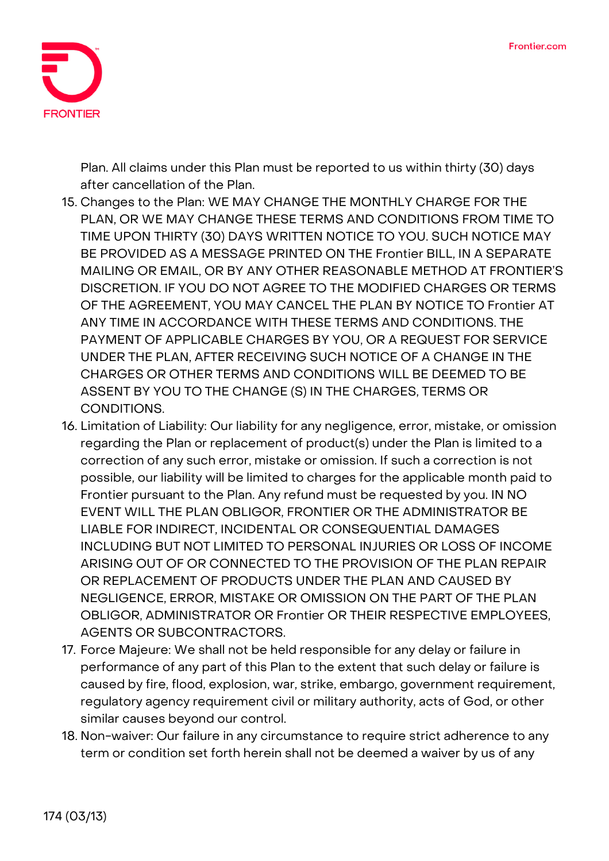

Plan. All claims under this Plan must be reported to us within thirty (30) days after cancellation of the Plan.

- 15. **Changes to the Plan:** WE MAY CHANGE THE MONTHLY CHARGE FOR THE PLAN, OR WE MAY CHANGE THESE TERMS AND CONDITIONS FROM TIME TO TIME UPON THIRTY (30) DAYS WRITTEN NOTICE TO YOU. SUCH NOTICE MAY BE PROVIDED AS A MESSAGE PRINTED ON THE Frontier BILL, IN A SEPARATE MAILING OR EMAIL, OR BY ANY OTHER REASONABLE METHOD AT FRONTIER'S DISCRETION. IF YOU DO NOT AGREE TO THE MODIFIED CHARGES OR TERMS OF THE AGREEMENT, YOU MAY CANCEL THE PLAN BY NOTICE TO Frontier AT ANY TIME IN ACCORDANCE WITH THESE TERMS AND CONDITIONS. THE PAYMENT OF APPLICABLE CHARGES BY YOU, OR A REQUEST FOR SERVICE UNDER THE PLAN, AFTER RECEIVING SUCH NOTICE OF A CHANGE IN THE CHARGES OR OTHER TERMS AND CONDITIONS WILL BE DEEMED TO BE ASSENT BY YOU TO THE CHANGE (S) IN THE CHARGES, TERMS OR CONDITIONS.
- 16. **Limitation of Liability:** Our liability for any negligence, error, mistake, or omission regarding the Plan or replacement of product(s) under the Plan is limited to a correction of any such error, mistake or omission. If such a correction is not possible, our liability will be limited to charges for the applicable month paid to Frontier pursuant to the Plan. Any refund must be requested by you. IN NO EVENT WILL THE PLAN OBLIGOR, FRONTIER OR THE ADMINISTRATOR BE LIABLE FOR INDIRECT, INCIDENTAL OR CONSEQUENTIAL DAMAGES INCLUDING BUT NOT LIMITED TO PERSONAL INJURIES OR LOSS OF INCOME ARISING OUT OF OR CONNECTED TO THE PROVISION OF THE PLAN REPAIR OR REPLACEMENT OF PRODUCTS UNDER THE PLAN AND CAUSED BY NEGLIGENCE, ERROR, MISTAKE OR OMISSION ON THE PART OF THE PLAN OBLIGOR, ADMINISTRATOR OR Frontier OR THEIR RESPECTIVE EMPLOYEES, AGENTS OR SUBCONTRACTORS.
- 17. **Force Majeure:** We shall not be held responsible for any delay or failure in performance of any part of this Plan to the extent that such delay or failure is caused by fire, flood, explosion, war, strike, embargo, government requirement, regulatory agency requirement civil or military authority, acts of God, or other similar causes beyond our control.
- 18. **Non-waiver:** Our failure in any circumstance to require strict adherence to any term or condition set forth herein shall not be deemed a waiver by us of any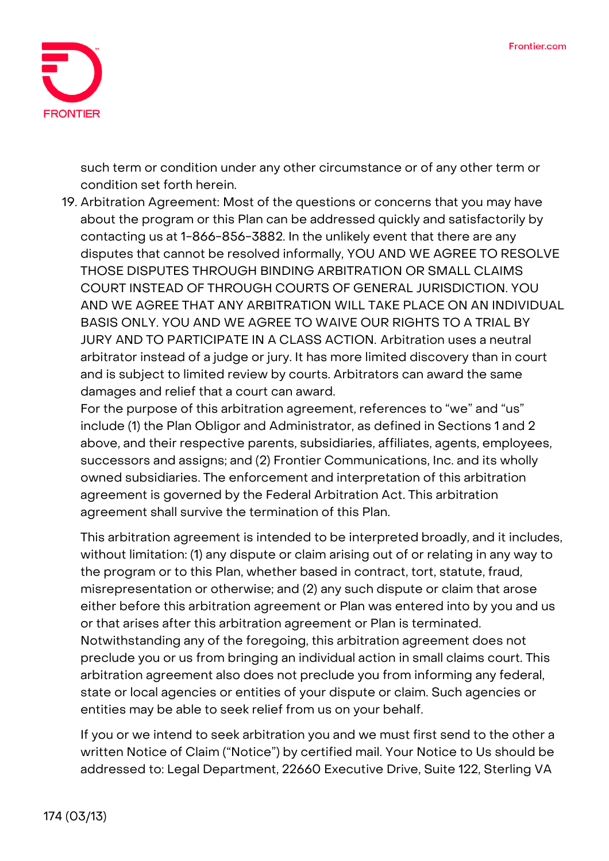

such term or condition under any other circumstance or of any other term or condition set forth herein.

19. **Arbitration Agreement:** Most of the questions or concerns that you may have about the program or this Plan can be addressed quickly and satisfactorily by contacting us at 1-866-856-3882. In the unlikely event that there are any disputes that cannot be resolved informally, **YOU AND WE AGREE TO RESOLVE THOSE DISPUTES THROUGH BINDING ARBITRATION OR SMALL CLAIMS COURT INSTEAD OF THROUGH COURTS OF GENERAL JURISDICTION. YOU AND WE AGREE THAT ANY ARBITRATION WILL TAKE PLACE ON AN INDIVIDUAL BASIS ONLY. YOU AND WE AGREE TO WAIVE OUR RIGHTS TO A TRIAL BY JURY AND TO PARTICIPATE IN A CLASS ACTION.** Arbitration uses a neutral arbitrator instead of a judge or jury. It has more limited discovery than in court and is subject to limited review by courts. Arbitrators can award the same damages and relief that a court can award.

For the purpose of this arbitration agreement, references to "we" and "us" include (1) the Plan Obligor and Administrator, as defined in Sections 1 and 2 above, and their respective parents, subsidiaries, affiliates, agents, employees, successors and assigns; and (2) Frontier Communications, Inc. and its wholly owned subsidiaries. The enforcement and interpretation of this arbitration agreement is governed by the Federal Arbitration Act. This arbitration agreement shall survive the termination of this Plan.

This arbitration agreement is intended to be interpreted broadly, and it includes, without limitation: (1) any dispute or claim arising out of or relating in any way to the program or to this Plan, whether based in contract, tort, statute, fraud, misrepresentation or otherwise; and (2) any such dispute or claim that arose either before this arbitration agreement or Plan was entered into by you and us or that arises after this arbitration agreement or Plan is terminated. Notwithstanding any of the foregoing, this arbitration agreement does not preclude you or us from bringing an individual action in small claims court. This arbitration agreement also does not preclude you from informing any federal, state or local agencies or entities of your dispute or claim. Such agencies or entities may be able to seek relief from us on your behalf.

If you or we intend to seek arbitration you and we must first send to the other a written Notice of Claim ("Notice") by certified mail. Your Notice to Us should be addressed to: Legal Department, 22660 Executive Drive, Suite 122, Sterling VA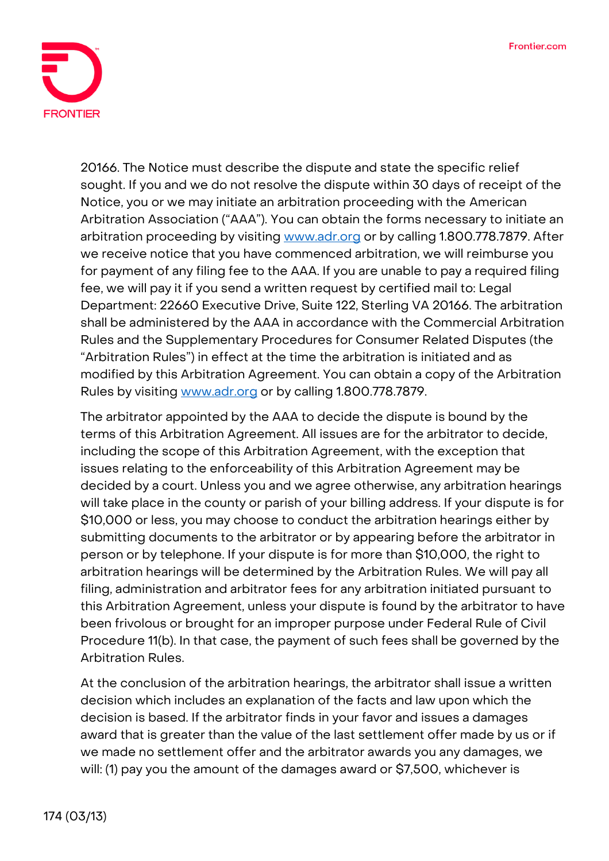

20166. The Notice must describe the dispute and state the specific relief sought. If you and we do not resolve the dispute within 30 days of receipt of the Notice, you or we may initiate an arbitration proceeding with the American Arbitration Association ("AAA"). You can obtain the forms necessary to initiate an arbitration proceeding by visiting [www.adr.org](http://www.adr.org/) or by calling 1.800.778.7879. After we receive notice that you have commenced arbitration, we will reimburse you for payment of any filing fee to the AAA. If you are unable to pay a required filing fee, we will pay it if you send a written request by certified mail to: Legal Department: 22660 Executive Drive, Suite 122, Sterling VA 20166. The arbitration shall be administered by the AAA in accordance with the Commercial Arbitration Rules and the Supplementary Procedures for Consumer Related Disputes (the "Arbitration Rules") in effect at the time the arbitration is initiated and as modified by this Arbitration Agreement. You can obtain a copy of the Arbitration Rules by visiting [www.adr.org](http://www.adr.org/) or by calling 1.800.778.7879.

The arbitrator appointed by the AAA to decide the dispute is bound by the terms of this Arbitration Agreement. All issues are for the arbitrator to decide, including the scope of this Arbitration Agreement, with the exception that issues relating to the enforceability of this Arbitration Agreement may be decided by a court. Unless you and we agree otherwise, any arbitration hearings will take place in the county or parish of your billing address. If your dispute is for \$10,000 or less, you may choose to conduct the arbitration hearings either by submitting documents to the arbitrator or by appearing before the arbitrator in person or by telephone. If your dispute is for more than \$10,000, the right to arbitration hearings will be determined by the Arbitration Rules. We will pay all filing, administration and arbitrator fees for any arbitration initiated pursuant to this Arbitration Agreement, unless your dispute is found by the arbitrator to have been frivolous or brought for an improper purpose under Federal Rule of Civil Procedure 11(b). In that case, the payment of such fees shall be governed by the Arbitration Rules.

At the conclusion of the arbitration hearings, the arbitrator shall issue a written decision which includes an explanation of the facts and law upon which the decision is based. If the arbitrator finds in your favor and issues a damages award that is greater than the value of the last settlement offer made by us or if we made no settlement offer and the arbitrator awards you any damages, we will: (1) pay you the amount of the damages award or \$7,500, whichever is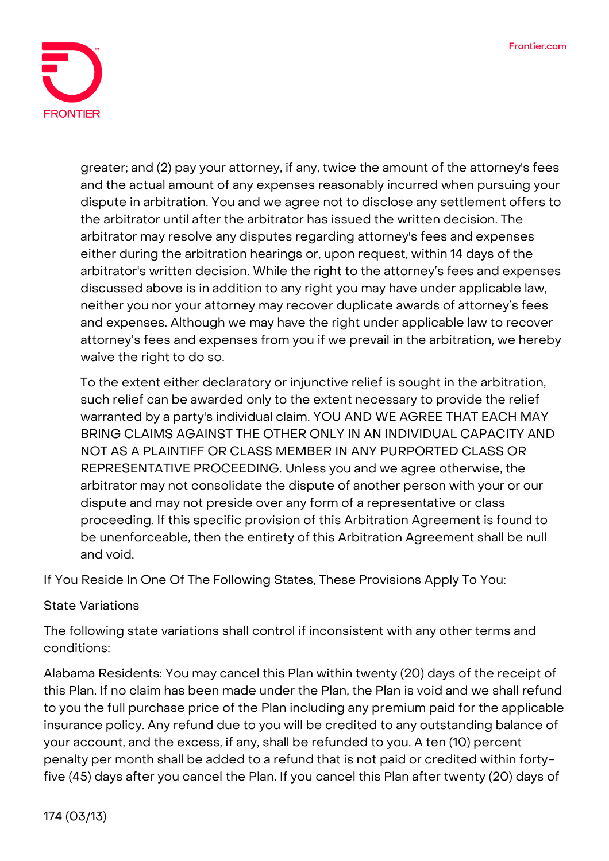

greater; and (2) pay your attorney, if any, twice the amount of the attorney's fees and the actual amount of any expenses reasonably incurred when pursuing your dispute in arbitration. You and we agree not to disclose any settlement offers to the arbitrator until after the arbitrator has issued the written decision. The arbitrator may resolve any disputes regarding attorney's fees and expenses either during the arbitration hearings or, upon request, within 14 days of the arbitrator's written decision. While the right to the attorney's fees and expenses discussed above is in addition to any right you may have under applicable law, neither you nor your attorney may recover duplicate awards of attorney's fees and expenses. Although we may have the right under applicable law to recover attorney's fees and expenses from you if we prevail in the arbitration, we hereby waive the right to do so.

To the extent either declaratory or injunctive relief is sought in the arbitration, such relief can be awarded only to the extent necessary to provide the relief warranted by a party's individual claim. **YOU AND WE AGREE THAT EACH MAY BRING CLAIMS AGAINST THE OTHER ONLY IN AN INDIVIDUAL CAPACITY AND NOT AS A PLAINTIFF OR CLASS MEMBER IN ANY PURPORTED CLASS OR REPRESENTATIVE PROCEEDING.** Unless you and we agree otherwise, the arbitrator may not consolidate the dispute of another person with your or our dispute and may not preside over any form of a representative or class proceeding. If this specific provision of this Arbitration Agreement is found to be unenforceable, then the entirety of this Arbitration Agreement shall be null and void.

**If You Reside In One Of The Following States, These Provisions Apply To You:**

## **State Variations**

The following state variations shall control if inconsistent with any other terms and conditions:

**Alabama Residents:** You may cancel this Plan within twenty (20) days of the receipt of this Plan. If no claim has been made under the Plan, the Plan is void and we shall refund to you the full purchase price of the Plan including any premium paid for the applicable insurance policy. Any refund due to you will be credited to any outstanding balance of your account, and the excess, if any, shall be refunded to you. A ten (10) percent penalty per month shall be added to a refund that is not paid or credited within fortyfive (45) days after you cancel the Plan. If you cancel this Plan after twenty (20) days of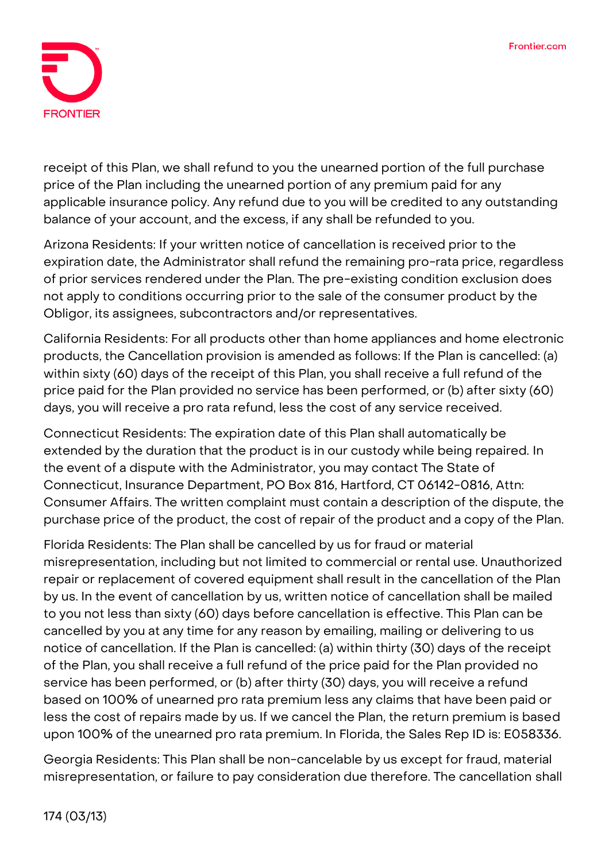

receipt of this Plan, we shall refund to you the unearned portion of the full purchase price of the Plan including the unearned portion of any premium paid for any applicable insurance policy. Any refund due to you will be credited to any outstanding balance of your account, and the excess, if any shall be refunded to you.

**Arizona Residents:** If your written notice of cancellation is received prior to the expiration date, the Administrator shall refund the remaining pro-rata price, regardless of prior services rendered under the Plan. The pre-existing condition exclusion does not apply to conditions occurring prior to the sale of the consumer product by the Obligor, its assignees, subcontractors and/or representatives.

**California Residents:** For all products other than home appliances and home electronic products, the Cancellation provision is amended as follows: If the Plan is cancelled: (a) within sixty (60) days of the receipt of this Plan, you shall receive a full refund of the price paid for the Plan provided no service has been performed, or (b) after sixty (60) days, you will receive a pro rata refund, less the cost of any service received.

**Connecticut Residents:** The expiration date of this Plan shall automatically be extended by the duration that the product is in our custody while being repaired. In the event of a dispute with the Administrator, you may contact The State of Connecticut, Insurance Department, PO Box 816, Hartford, CT 06142-0816, Attn: Consumer Affairs. The written complaint must contain a description of the dispute, the purchase price of the product, the cost of repair of the product and a copy of the Plan.

**Florida Residents:** The Plan shall be cancelled by us for fraud or material misrepresentation, including but not limited to commercial or rental use. Unauthorized repair or replacement of covered equipment shall result in the cancellation of the Plan by us. In the event of cancellation by us, written notice of cancellation shall be mailed to you not less than sixty (60) days before cancellation is effective. This Plan can be cancelled by you at any time for any reason by emailing, mailing or delivering to us notice of cancellation. If the Plan is cancelled: (a) within thirty (30) days of the receipt of the Plan, you shall receive a full refund of the price paid for the Plan provided no service has been performed, or (b) after thirty (30) days, you will receive a refund based on 100% of unearned pro rata premium less any claims that have been paid or less the cost of repairs made by us. If we cancel the Plan, the return premium is based upon 100% of the unearned pro rata premium. In Florida, the Sales Rep ID is: E058336.

**Georgia Residents:** This Plan shall be non-cancelable by us except for fraud, material misrepresentation, or failure to pay consideration due therefore. The cancellation shall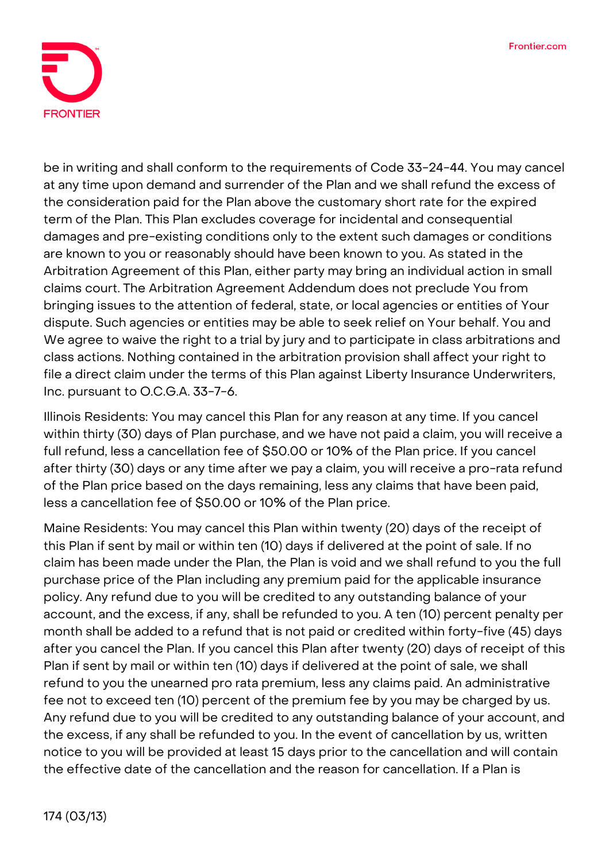

be in writing and shall conform to the requirements of Code 33-24-44. You may cancel at any time upon demand and surrender of the Plan and we shall refund the excess of the consideration paid for the Plan above the customary short rate for the expired term of the Plan. This Plan excludes coverage for incidental and consequential damages and pre-existing conditions only to the extent such damages or conditions are known to you or reasonably should have been known to you. As stated in the Arbitration Agreement of this Plan, either party may bring an individual action in small claims court. The Arbitration Agreement Addendum does not preclude You from bringing issues to the attention of federal, state, or local agencies or entities of Your dispute. Such agencies or entities may be able to seek relief on Your behalf. You and We agree to waive the right to a trial by jury and to participate in class arbitrations and class actions. Nothing contained in the arbitration provision shall affect your right to file a direct claim under the terms of this Plan against Liberty Insurance Underwriters, Inc. pursuant to O.C.G.A. 33-7-6.

**Illinois Residents:** You may cancel this Plan for any reason at any time. If you cancel within thirty (30) days of Plan purchase, and we have not paid a claim, you will receive a full refund, less a cancellation fee of \$50.00 or 10% of the Plan price. If you cancel after thirty (30) days or any time after we pay a claim, you will receive a pro-rata refund of the Plan price based on the days remaining, less any claims that have been paid, less a cancellation fee of \$50.00 or 10% of the Plan price.

**Maine Residents:** You may cancel this Plan within twenty (20) days of the receipt of this Plan if sent by mail or within ten (10) days if delivered at the point of sale. If no claim has been made under the Plan, the Plan is void and we shall refund to you the full purchase price of the Plan including any premium paid for the applicable insurance policy. Any refund due to you will be credited to any outstanding balance of your account, and the excess, if any, shall be refunded to you. A ten (10) percent penalty per month shall be added to a refund that is not paid or credited within forty-five (45) days after you cancel the Plan. If you cancel this Plan after twenty (20) days of receipt of this Plan if sent by mail or within ten (10) days if delivered at the point of sale, we shall refund to you the unearned pro rata premium, less any claims paid. An administrative fee not to exceed ten (10) percent of the premium fee by you may be charged by us. Any refund due to you will be credited to any outstanding balance of your account, and the excess, if any shall be refunded to you. In the event of cancellation by us, written notice to you will be provided at least 15 days prior to the cancellation and will contain the effective date of the cancellation and the reason for cancellation. If a Plan is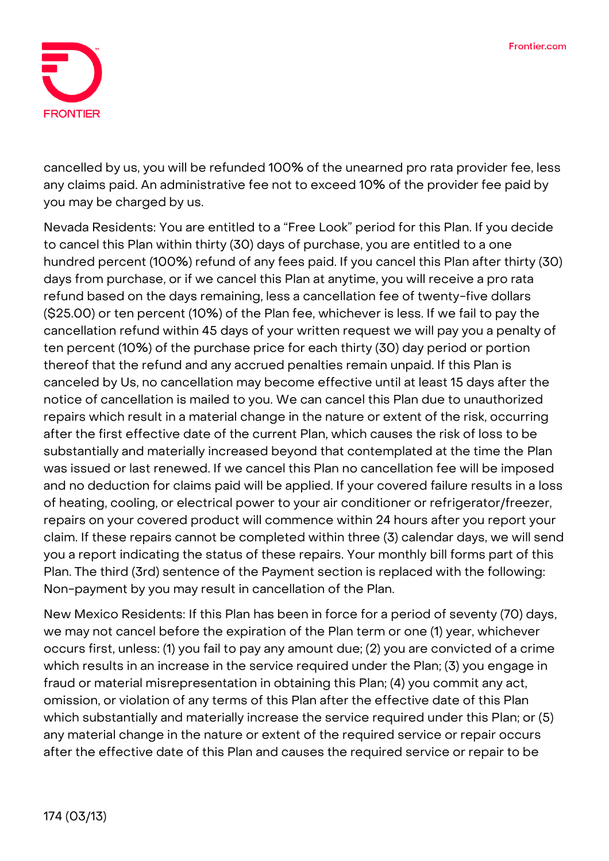

cancelled by us, you will be refunded 100% of the unearned pro rata provider fee, less any claims paid. An administrative fee not to exceed 10% of the provider fee paid by you may be charged by us.

**Nevada Residents:** You are entitled to a "Free Look" period for this Plan. If you decide to cancel this Plan within thirty (30) days of purchase, you are entitled to a one hundred percent (100%) refund of any fees paid. If you cancel this Plan after thirty (30) days from purchase, or if we cancel this Plan at anytime, you will receive a pro rata refund based on the days remaining, less a cancellation fee of twenty-five dollars (\$25.00) or ten percent (10%) of the Plan fee, whichever is less. If we fail to pay the cancellation refund within 45 days of your written request we will pay you a penalty of ten percent (10%) of the purchase price for each thirty (30) day period or portion thereof that the refund and any accrued penalties remain unpaid. If this Plan is canceled by Us, no cancellation may become effective until at least 15 days after the notice of cancellation is mailed to you. We can cancel this Plan due to unauthorized repairs which result in a material change in the nature or extent of the risk, occurring after the first effective date of the current Plan, which causes the risk of loss to be substantially and materially increased beyond that contemplated at the time the Plan was issued or last renewed. If we cancel this Plan no cancellation fee will be imposed and no deduction for claims paid will be applied. If your covered failure results in a loss of heating, cooling, or electrical power to your air conditioner or refrigerator/freezer, repairs on your covered product will commence within 24 hours after you report your claim. If these repairs cannot be completed within three (3) calendar days, we will send you a report indicating the status of these repairs. Your monthly bill forms part of this Plan. The third (3rd) sentence of the Payment section is replaced with the following: Non-payment by you may result in cancellation of the Plan.

**New Mexico Residents:** If this Plan has been in force for a period of seventy (70) days, we may not cancel before the expiration of the Plan term or one (1) year, whichever occurs first, unless: (1) you fail to pay any amount due; (2) you are convicted of a crime which results in an increase in the service required under the Plan; (3) you engage in fraud or material misrepresentation in obtaining this Plan; (4) you commit any act, omission, or violation of any terms of this Plan after the effective date of this Plan which substantially and materially increase the service required under this Plan; or (5) any material change in the nature or extent of the required service or repair occurs after the effective date of this Plan and causes the required service or repair to be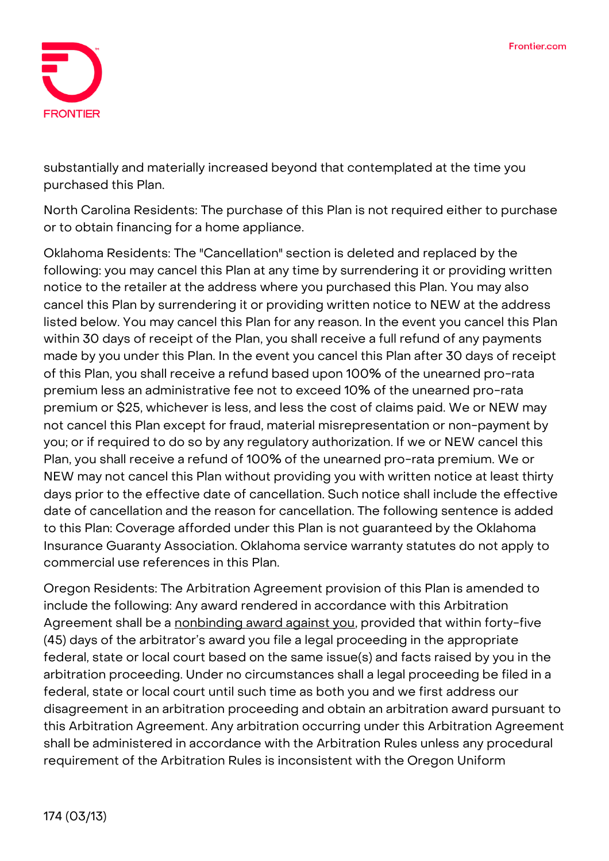

substantially and materially increased beyond that contemplated at the time you purchased this Plan.

**North Carolina Residents:** The purchase of this Plan is not required either to purchase or to obtain financing for a home appliance.

**Oklahoma Residents:** The "Cancellation" section is deleted and replaced by the following: you may cancel this Plan at any time by surrendering it or providing written notice to the retailer at the address where you purchased this Plan. You may also cancel this Plan by surrendering it or providing written notice to NEW at the address listed below. You may cancel this Plan for any reason. In the event you cancel this Plan within 30 days of receipt of the Plan, you shall receive a full refund of any payments made by you under this Plan. In the event you cancel this Plan after 30 days of receipt of this Plan, you shall receive a refund based upon 100% of the unearned pro-rata premium less an administrative fee not to exceed 10% of the unearned pro-rata premium or \$25, whichever is less, and less the cost of claims paid. We or NEW may not cancel this Plan except for fraud, material misrepresentation or non-payment by you; or if required to do so by any regulatory authorization. If we or NEW cancel this Plan, you shall receive a refund of 100% of the unearned pro-rata premium. We or NEW may not cancel this Plan without providing you with written notice at least thirty days prior to the effective date of cancellation. Such notice shall include the effective date of cancellation and the reason for cancellation. The following sentence is added to this Plan: Coverage afforded under this Plan is not guaranteed by the Oklahoma Insurance Guaranty Association. Oklahoma service warranty statutes do not apply to commercial use references in this Plan.

**Oregon Residents:** The Arbitration Agreement provision of this Plan is amended to include the following: **Any award rendered in accordance with this Arbitration Agreement shall be a nonbinding award against you**, provided that within forty-five (45) days of the arbitrator's award you file a legal proceeding in the appropriate federal, state or local court based on the same issue(s) and facts raised by you in the arbitration proceeding. Under no circumstances shall a legal proceeding be filed in a federal, state or local court until such time as both you and we first address our disagreement in an arbitration proceeding and obtain an arbitration award pursuant to this Arbitration Agreement. Any arbitration occurring under this Arbitration Agreement shall be administered in accordance with the Arbitration Rules unless any procedural requirement of the Arbitration Rules is inconsistent with the Oregon Uniform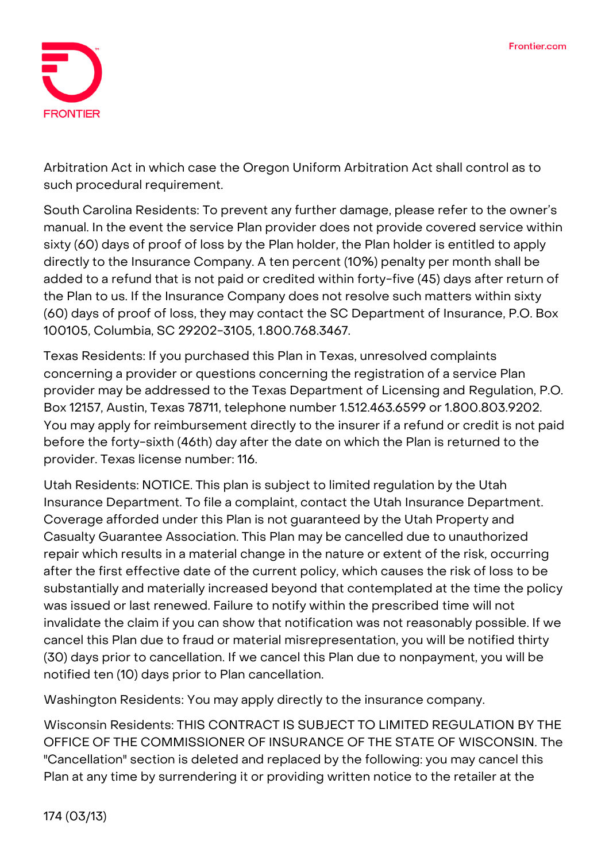

Arbitration Act in which case the Oregon Uniform Arbitration Act shall control as to such procedural requirement.

**South Carolina Residents:** To prevent any further damage, please refer to the owner's manual. In the event the service Plan provider does not provide covered service within sixty (60) days of proof of loss by the Plan holder, the Plan holder is entitled to apply directly to the Insurance Company. A ten percent (10%) penalty per month shall be added to a refund that is not paid or credited within forty-five (45) days after return of the Plan to us. If the Insurance Company does not resolve such matters within sixty (60) days of proof of loss, they may contact the SC Department of Insurance, P.O. Box 100105, Columbia, SC 29202-3105, 1.800.768.3467.

**Texas Residents:** If you purchased this Plan in Texas, unresolved complaints concerning a provider or questions concerning the registration of a service Plan provider may be addressed to the Texas Department of Licensing and Regulation, P.O. Box 12157, Austin, Texas 78711, telephone number 1.512.463.6599 or 1.800.803.9202. You may apply for reimbursement directly to the insurer if a refund or credit is not paid before the forty-sixth (46th) day after the date on which the Plan is returned to the provider. Texas license number: 116.

**Utah Residents: NOTICE. This plan is subject to limited regulation by the Utah Insurance Department.** To file a complaint, contact the Utah Insurance Department. Coverage afforded under this Plan is not guaranteed by the Utah Property and Casualty Guarantee Association. This Plan may be cancelled due to unauthorized repair which results in a material change in the nature or extent of the risk, occurring after the first effective date of the current policy, which causes the risk of loss to be substantially and materially increased beyond that contemplated at the time the policy was issued or last renewed. Failure to notify within the prescribed time will not invalidate the claim if you can show that notification was not reasonably possible. If we cancel this Plan due to fraud or material misrepresentation, you will be notified thirty (30) days prior to cancellation. If we cancel this Plan due to nonpayment, you will be notified ten (10) days prior to Plan cancellation.

**Washington Residents:** You may apply directly to the insurance company.

**Wisconsin Residents: THIS CONTRACT IS SUBJECT TO LIMITED REGULATION BY THE OFFICE OF THE COMMISSIONER OF INSURANCE OF THE STATE OF WISCONSIN.** The "Cancellation" section is deleted and replaced by the following: you may cancel this Plan at any time by surrendering it or providing written notice to the retailer at the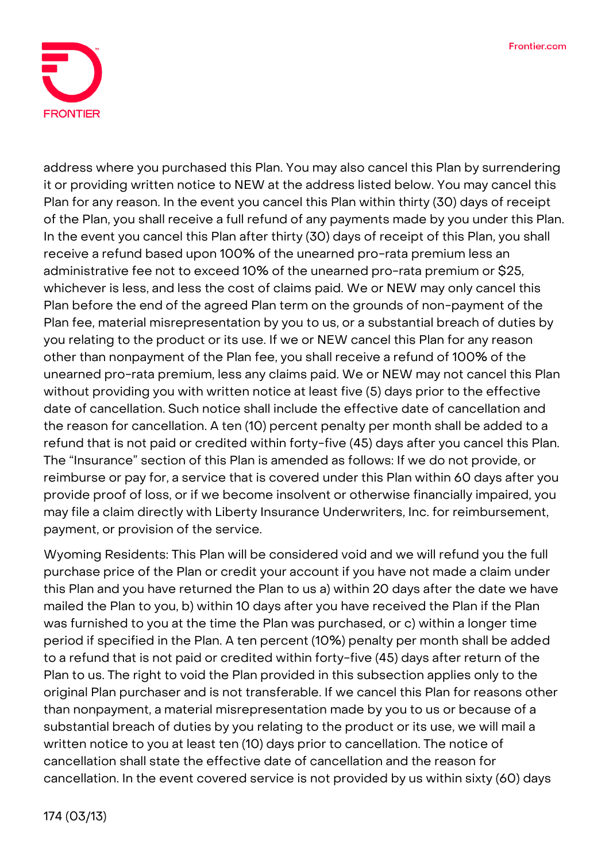

address where you purchased this Plan. You may also cancel this Plan by surrendering it or providing written notice to NEW at the address listed below. You may cancel this Plan for any reason. In the event you cancel this Plan within thirty (30) days of receipt of the Plan, you shall receive a full refund of any payments made by you under this Plan. In the event you cancel this Plan after thirty (30) days of receipt of this Plan, you shall receive a refund based upon 100% of the unearned pro-rata premium less an administrative fee not to exceed 10% of the unearned pro-rata premium or \$25, whichever is less, and less the cost of claims paid. We or NEW may only cancel this Plan before the end of the agreed Plan term on the grounds of non-payment of the Plan fee, material misrepresentation by you to us, or a substantial breach of duties by you relating to the product or its use. If we or NEW cancel this Plan for any reason other than nonpayment of the Plan fee, you shall receive a refund of 100% of the unearned pro-rata premium, less any claims paid. We or NEW may not cancel this Plan without providing you with written notice at least five (5) days prior to the effective date of cancellation. Such notice shall include the effective date of cancellation and the reason for cancellation. A ten (10) percent penalty per month shall be added to a refund that is not paid or credited within forty-five (45) days after you cancel this Plan. The "Insurance" section of this Plan is amended as follows: If we do not provide, or reimburse or pay for, a service that is covered under this Plan within 60 days after you provide proof of loss, or if we become insolvent or otherwise financially impaired, you may file a claim directly with Liberty Insurance Underwriters, Inc. for reimbursement, payment, or provision of the service.

**Wyoming Residents:** This Plan will be considered void and we will refund you the full purchase price of the Plan or credit your account if you have not made a claim under this Plan and you have returned the Plan to us a) within 20 days after the date we have mailed the Plan to you, b) within 10 days after you have received the Plan if the Plan was furnished to you at the time the Plan was purchased, or c) within a longer time period if specified in the Plan. A ten percent (10%) penalty per month shall be added to a refund that is not paid or credited within forty-five (45) days after return of the Plan to us. The right to void the Plan provided in this subsection applies only to the original Plan purchaser and is not transferable. If we cancel this Plan for reasons other than nonpayment, a material misrepresentation made by you to us or because of a substantial breach of duties by you relating to the product or its use, we will mail a written notice to you at least ten (10) days prior to cancellation. The notice of cancellation shall state the effective date of cancellation and the reason for cancellation. In the event covered service is not provided by us within sixty (60) days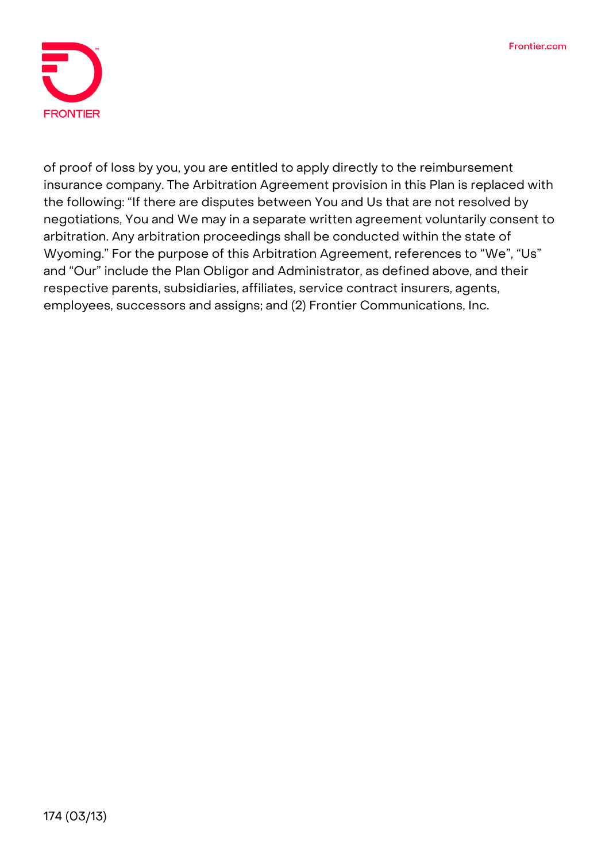

of proof of loss by you, you are entitled to apply directly to the reimbursement insurance company. The Arbitration Agreement provision in this Plan is replaced with the following: "If there are disputes between You and Us that are not resolved by negotiations, You and We may in a separate written agreement voluntarily consent to arbitration. Any arbitration proceedings shall be conducted within the state of Wyoming." For the purpose of this Arbitration Agreement, references to "We", "Us" and "Our" include the Plan Obligor and Administrator, as defined above, and their respective parents, subsidiaries, affiliates, service contract insurers, agents, employees, successors and assigns; and (2) Frontier Communications, Inc.